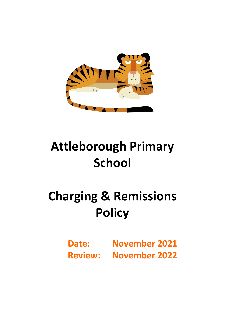

## **Attleborough Primary School**

# **Charging & Remissions Policy**

**Date: November 2021 Review: November 2022**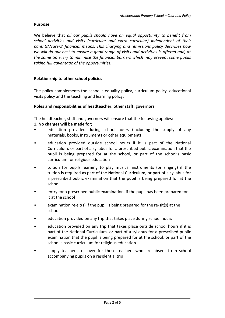#### **Purpose**

We believe that *all our pupils should have an equal opportunity to benefit from school activities and visits (curricular and extra curricular) independent of their parents'/carers' financial means. This charging and remissions policy describes how we will do our best to ensure a good range of visits and activities is offered and, at the same time, try to minimise the financial barriers which may prevent some pupils taking full advantage of the opportunities.*

## **Relationship to other school policies**

The policy complements the school's equality policy, curriculum policy, educational visits policy and the teaching and learning policy.

## **Roles and responsibilities of headteacher, other staff, governors**

The headteacher, staff and governors will ensure that the following applies:

## **1. No charges will be made for;**

- education provided during school hours (including the supply of any materials, books, instruments or other equipment)
- education provided outside school hours if it is part of the National Curriculum, or part of a syllabus for a prescribed public examination that the pupil is being prepared for at the school, or part of the school's basic curriculum for religious education
- tuition for pupils learning to play musical instruments (or singing) if the tuition is required as part of the National Curriculum, or part of a syllabus for a prescribed public examination that the pupil is being prepared for at the school
- entry for a prescribed public examination, if the pupil has been prepared for it at the school
- examination re-sit(s) if the pupil is being prepared for the re-sit(s) at the school
- education provided on any trip that takes place during school hours
- education provided on any trip that takes place outside school hours if it is part of the National Curriculum, or part of a syllabus for a prescribed public examination that the pupil is being prepared for at the school, or part of the school's basic curriculum for religious education
- supply teachers to cover for those teachers who are absent from school accompanying pupils on a residential trip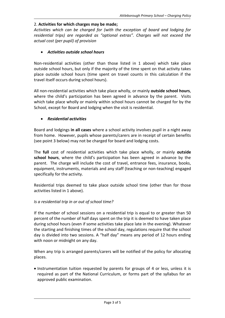## 2. **Activities for which charges may be made;**

*Activities which can be charged for (with the exception of board and lodging for residential trips) are regarded as "optional extras". Charges will not exceed the actual cost (per pupil) of provision*

## *Activities outside school hours*

Non-residential activities (other than those listed in 1 above) which take place outside school hours, but only if the majority of the time spent on that activity takes place outside school hours (time spent on travel counts in this calculation if the travel itself occurs during school hours).

All non-residential activities which take place wholly, or mainly **outside school hours**, where the child's participation has been agreed in advance by the parent. Visits which take place wholly or mainly within school hours cannot be charged for by the School, except for Board and lodging when the visit is residential.

## *Residential activities*

Board and lodgings **in all cases** where a school activity involves pupil in a night away from home. However, pupils whose parents/carers are in receipt of certain benefits (see point 3 below) may not be charged for board and lodging costs.

The **full** cost of residential activities which take place wholly, or mainly **outside school hours**, where the child's participation has been agreed in advance by the parent. The charge will include the cost of travel, entrance fees, insurance, books, equipment, instruments, materials and any staff (teaching or non-teaching) engaged specifically for the activity.

Residential trips deemed to take place outside school time (other than for those activities listed in 1 above).

## *Is a residential trip in or out of school time?*

If the number of school sessions on a residential trip is equal to or greater than 50 percent of the number of half days spent on the trip it is deemed to have taken place during school hours (even if some activities take place late in the evening). Whatever the starting and finishing times of the school day, regulations require that the school day is divided into two sessions. A "half day" means any period of 12 hours ending with noon or midnight on any day.

When any trip is arranged parents/carers will be notified of the policy for allocating places.

• Instrumentation tuition requested by parents for groups of 4 or less, unless it is required as part of the National Curriculum, or forms part of the syllabus for an approved public examination.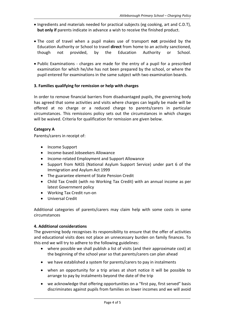- Ingredients and materials needed for practical subjects (eg cooking, art and C.D.T), **but only if** parents indicate in advance a wish to receive the finished product.
- The cost of travel when a pupil makes use of transport **not** provided by the Education Authority or School to travel **direct** from home to an activity sanctioned, though not provided, by the Education Authority or School.
- Public Examinations charges are made for the entry of a pupil for a prescribed examination for which he/she has not been prepared by the school, or where the pupil entered for examinations in the same subject with two examination boards.

## **3. Families qualifying for remission or help with charges**

In order to remove financial barriers from disadvantaged pupils, the governing body has agreed that some activities and visits where charges can legally be made will be offered at no charge or a reduced charge to parents/carers in particular circumstances. This remissions policy sets out the circumstances in which charges will be waived. Criteria for qualification for remission are given below.

## **Category A**

Parents/carers in receipt of:

- Income Support
- Income-based Jobseekers Allowance
- Income-related Employment and Support Allowance
- Support from NASS (National Asylum Support Service) under part 6 of the Immigration and Asylum Act 1999
- The guarantee element of State Pension Credit
- Child Tax Credit (with no Working Tax Credit) with an annual income as per latest Government policy
- Working Tax Credit run-on
- Universal Credit

Additional categories of parents/carers may claim help with some costs in some circumstances

## **4. Additional considerations**

The governing body recognises its responsibility to ensure that the offer of activities and educational visits does not place an unnecessary burden on family finances. To this end we will try to adhere to the following guidelines:

- where possible we shall publish a list of visits (and their approximate cost) at the beginning of the school year so that parents/carers can plan ahead
- we have established a system for parents/carers to pay in instalments
- when an opportunity for a trip arises at short notice it will be possible to arrange to pay by instalments beyond the date of the trip
- we acknowledge that offering opportunities on a "first pay, first served" basis discriminates against pupils from families on lower incomes and we will avoid